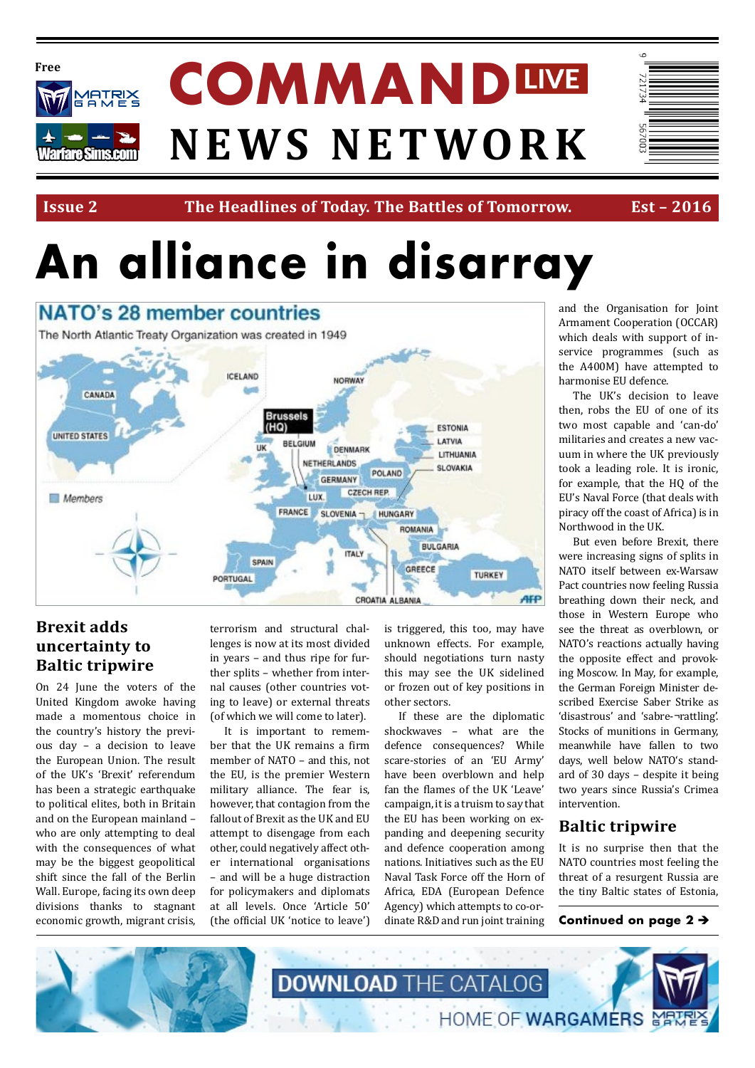

**Issue 2 The Headlines of Today. The Battles of Tomorrow. Est – 2016**

# **An alliance in disarray**



### **Brexit adds uncertainty to Baltic tripwire**

On 24 June the voters of the United Kingdom awoke having made a momentous choice in the country's history the previous day – a decision to leave the European Union. The result of the UK's 'Brexit' referendum has been a strategic earthquake to political elites, both in Britain and on the European mainland – who are only attempting to deal with the consequences of what may be the biggest geopolitical shift since the fall of the Berlin Wall. Europe, facing its own deep divisions thanks to stagnant economic growth, migrant crisis,

terrorism and structural challenges is now at its most divided in years – and thus ripe for further splits – whether from internal causes (other countries voting to leave) or external threats (of which we will come to later).

It is important to remember that the UK remains a firm member of NATO – and this, not the EU, is the premier Western military alliance. The fear is, however, that contagion from the fallout of Brexit as the UK and EU attempt to disengage from each other, could negatively affect other international organisations – and will be a huge distraction for policymakers and diplomats at all levels. Once 'Article 50' (the official UK 'notice to leave')

is triggered, this too, may have unknown effects. For example, should negotiations turn nasty this may see the UK sidelined or frozen out of key positions in other sectors.

If these are the diplomatic shockwaves – what are the defence consequences? While scare-stories of an 'EU Army' have been overblown and help fan the flames of the UK 'Leave' campaign, it is a truism to say that the EU has been working on expanding and deepening security and defence cooperation among nations. Initiatives such as the EU Naval Task Force off the Horn of Africa, EDA (European Defence Agency) which attempts to co-ordinate R&D and run joint training and the Organisation for Joint Armament Cooperation (OCCAR) which deals with support of inservice programmes (such as the A400M) have attempted to harmonise EU defence.

The UK's decision to leave then, robs the EU of one of its two most capable and 'can-do' militaries and creates a new vacuum in where the UK previously took a leading role. It is ironic, for example, that the HQ of the EU's Naval Force (that deals with piracy off the coast of Africa) is in Northwood in the UK.

But even before Brexit, there were increasing signs of splits in NATO itself between ex-Warsaw Pact countries now feeling Russia breathing down their neck, and those in Western Europe who see the threat as overblown, or NATO's reactions actually having the opposite effect and provoking Moscow. In May, for example, the German Foreign Minister described Exercise Saber Strike as 'disastrous' and 'sabre-¬rattling'. Stocks of munitions in Germany, meanwhile have fallen to two days, well below NATO's standard of 30 days – despite it being two years since Russia's Crimea intervention.

## **Baltic tripwire**

It is no surprise then that the NATO countries most feeling the threat of a resurgent Russia are the tiny Baltic states of Estonia,

Continued on page 2  $\rightarrow$ 

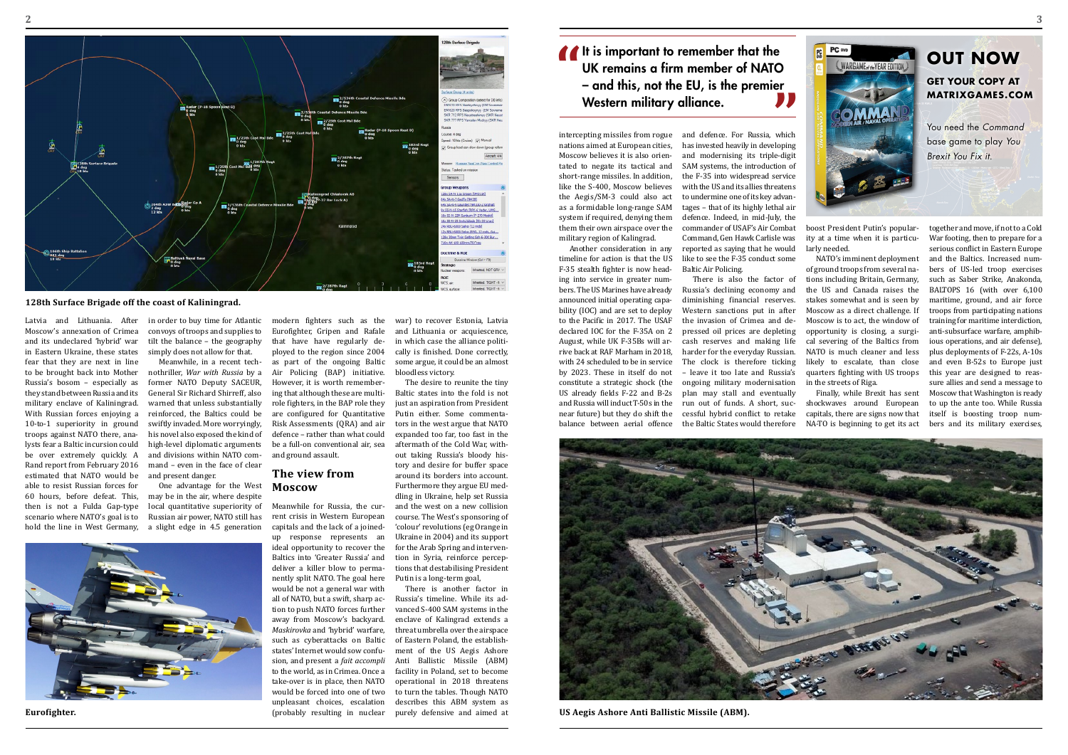intercepting missiles from rogue nations aimed at European cities, Moscow believes it is also orientated to negate its tactical and short-range missiles. In addition, like the S-400, Moscow believes the Aegis/SM-3 could also act as a formidable long-range SAM system if required, denying them them their own airspace over the military region of Kalingrad.

Another consideration in any timeline for action is that the US F-35 stealth fighter is now heading into service in greater numbers. The US Marines have already announced initial operating capability (IOC) and are set to deploy to the Pacific in 2017. The USAF declared IOC for the F-35A on 2 August, while UK F-35Bs will arrive back at RAF Marham in 2018, with 24 scheduled to be in service by 2023. These in itself do not constitute a strategic shock (the US already fields F-22 and B-2s and Russia will induct T-50s in the near future) but they do shift the balance between aerial offence

and defence. For Russia, which has invested heavily in developing and modernising its triple-digit SAM systems, the introduction of the F-35 into widespread service with the US and its allies threatens to undermine one of its key advantages – that of its highly lethal air defence. Indeed, in mid-July, the commander of USAF's Air Combat Command, Gen Hawk Carlisle was reported as saying that he would like to see the F-35 conduct some Baltic Air Policing.

There is also the factor of Russia's declining economy and diminishing financial reserves. Western sanctions put in after the invasion of Crimea and depressed oil prices are depleting cash reserves and making life harder for the everyday Russian. The clock is therefore ticking – leave it too late and Russia's ongoing military modernisation plan may stall and eventually run out of funds. A short, successful hybrid conflict to retake the Baltic States would therefore boost President Putin's popularity at a time when it is particularly needed.

NATO's imminent deployment of ground troops from several nations including Britain, Germany, the US and Canada raises the stakes somewhat and is seen by Moscow as a direct challenge. If Moscow is to act, the window of opportunity is closing, a surgical severing of the Baltics from NATO is much cleaner and less likely to escalate, than close quarters fighting with US troops in the streets of Riga.

Finally, while Brexit has sent shockwaves around European capitals, there are signs now that

NA-TO is beginning to get its act bers and its military exercises, together and move, if not to a Cold War footing, then to prepare for a serious conflict in Eastern Europe and the Baltics. Increased numbers of US-led troop exercises such as Saber Strike, Anakonda, BALTOPS 16 (with over 6,100 maritime, ground, and air force troops from participating nations training for maritime interdiction, anti-subsurface warfare, amphibious operations, and air defense), plus deployments of F-22s, A-10s and even B-52s to Europe just this year are designed to reassure allies and send a message to Moscow that Washington is ready to up the ante too. While Russia itself is boosting troop num-

Latvia and Lithuania. After Moscow's annexation of Crimea and its undeclared 'hybrid' war in Eastern Ukraine, these states fear that they are next in line to be brought back into Mother Russia's bosom – especially as they stand between Russia and its military enclave of Kaliningrad. With Russian forces enjoying a 10-to-1 superiority in ground troops against NATO there, analysts fear a Baltic incursion could be over extremely quickly. A Rand report from February 2016 estimated that NATO would be able to resist Russian forces for 60 hours, before defeat. This, then is not a Fulda Gap-type scenario where NATO's goal is to hold the line in West Germany,

It is important to remember that the<br>UK remains a firm member of NATO<br>- and this, not the EU, is the premier<br>Western military alliance UK remains a firm member of NATO – and this, not the EU, is the premier Western military alliance. **"**

in order to buy time for Atlantic convoys of troops and supplies to tilt the balance – the geography simply does not allow for that.

Meanwhile, in a recent technothriller, *War with Russia* by a former NATO Deputy SACEUR, General Sir Richard Shirreff, also warned that unless substantially reinforced, the Baltics could be swiftly invaded. More worryingly, his novel also exposed the kind of high-level diplomatic arguments and divisions within NATO command – even in the face of clear and present danger.

One advantage for the West may be in the air, where despite local quantitative superiority of Russian air power, NATO still has a slight edge in 4.5 generation

modern fighters such as the Eurofighter, Gripen and Rafale that have have regularly deployed to the region since 2004 as part of the ongoing Baltic Air Policing (BAP) initiative. However, it is worth remembering that although these are multirole fighters, in the BAP role they are configured for Quantitative Risk Assessments (QRA) and air defence – rather than what could be a full-on conventional air, sea and ground assault.

#### **The view from Moscow**

Meanwhile for Russia, the current crisis in Western European capitals and the lack of a joinedup response represents an ideal opportunity to recover the Baltics into 'Greater Russia' and deliver a killer blow to permanently split NATO. The goal here would be not a general war with all of NATO, but a swift, sharp action to push NATO forces further away from Moscow's backyard. *Maskirovka* and 'hybrid' warfare, such as cyberattacks on Baltic states' Internet would sow confusion, and present a *fait accompli*  to the world, as in Crimea. Once a take-over is in place, then NATO would be forced into one of two unpleasant choices, escalation (probably resulting in nuclear war) to recover Estonia, Latvia and Lithuania or acquiescence, in which case the alliance politically is finished. Done correctly, some argue, it could be an almost bloodless victory.

The desire to reunite the tiny Baltic states into the fold is not just an aspiration from President Putin either. Some commentators in the west argue that NATO expanded too far, too fast in the aftermath of the Cold War, without taking Russia's bloody history and desire for buffer space around its borders into account. Furthermore they argue EU meddling in Ukraine, help set Russia and the west on a new collision course. The West's sponsoring of 'colour' revolutions (eg Orange in Ukraine in 2004) and its support for the Arab Spring and intervention in Syria, reinforce perceptions that destabilising President Putin is a long-term goal,

There is another factor in Russia's timeline. While its advanced S-400 SAM systems in the enclave of Kalingrad extends a threat umbrella over the airspace of Eastern Poland, the establishment of the US Aegis Ashore Anti Ballistic Missile (ABM) facility in Poland, set to become operational in 2018 threatens to turn the tables. Though NATO describes this ABM system as purely defensive and aimed at

# **Out Now Get your copy at [matrixgames.com](http://www.matrixgames.com)**

You need the *Command* base game to play *You Brexit You Fix it.*



**US Aegis Ashore Anti Ballistic Missile (ABM).**





#### **128th Surface Brigade off the coast of Kaliningrad.**

**Eurofighter.**